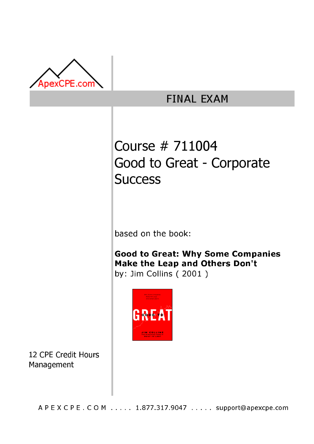

# **FINAL EXAM**

# Course # 711004 Good to Great - Corporate **Success**

based on the book:

Good to Great: Why Some Companies Make the Leap and Others Don't by: Jim Collins (2001)



12 CPE Credit Hours Management

A P E X C P E . C O M . . . . . 1.877.317.9047 . . . . . support@apexcpe.com .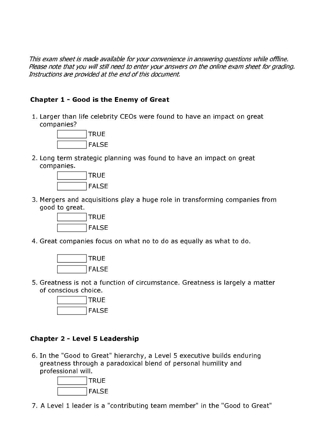This exam sheet is made available for your convenience in answering questions while offline. Please note that you will still need to enter your answers on the online exam sheet for grading. Instructions are provided at the end of this document.

## Chapter 1 - Good is the Enemy of Great

1. Larger than life celebrity CEOs were found to have an impact on great companies?



2. Long term strategic planning was found to have an impact on great companies



3. Mergers and acquisitions play a huge role in transforming companies from good to great.



4. Great companies focus on what no to do as equally as what to do.



5. Greatness is not a function of circumstance. Greatness is largely a matter of conscious choice.



### **Chapter 2 - Level 5 Leadership**

6. In the "Good to Great" hierarchy, a Level 5 executive builds enduring greatness through a paradoxical blend of personal humility and professional will.



7. A Level 1 leader is a "contributing team member" in the "Good to Great"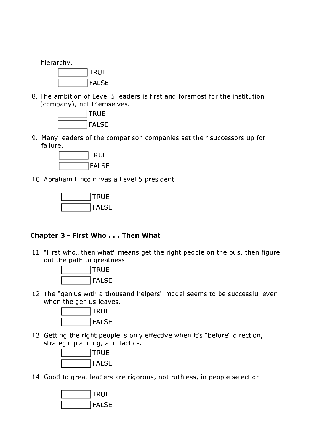hierarchy. **TRUE FALSE** 

8. The ambition of Level 5 leaders is first and foremost for the institution (company), not themselves.



9. Many leaders of the comparison companies set their successors up for failure.



10. Abraham Lincoln was a Level 5 president.



#### Chapter 3 - First Who . . . Then What

11. "First who...then what" means get the right people on the bus, then figure out the path to greatness.



12. The "genius with a thousand helpers" model seems to be successful even when the genius leaves.



13. Getting the right people is only effective when it's "before" direction, strategic planning, and tactics.



14. Good to great leaders are rigorous, not ruthless, in people selection.

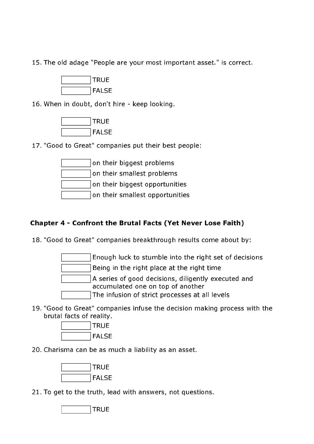15. The old adage "People are your most important asset." is correct.



16. When in doubt, don't hire - keep looking.



17. "Good to Great" companies put their best people:

| on their biggest problems       |  |
|---------------------------------|--|
| on their smallest problems      |  |
| on their biggest opportunities  |  |
| on their smallest opportunities |  |

# Chapter 4 - Confront the Brutal Facts (Yet Never Lose Faith)

18. "Good to Great" companies breakthrough results come about by:

Enough luck to stumble into the right set of decisions Being in the right place at the right time A series of good decisions, diligently executed and accumulated one on top of another The infusion of strict processes at all levels

19. "Good to Great" companies infuse the decision making process with the brutal facts of reality.



20. Charisma can be as much a liability as an asset.



21. To get to the truth, lead with answers, not questions.

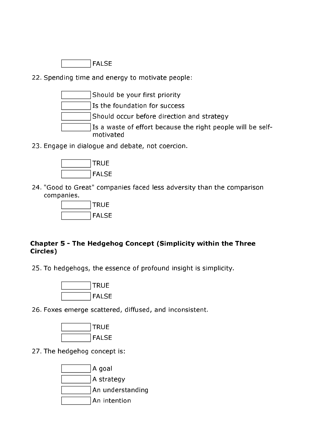

22. Spending time and energy to motivate people:



23. Engage in dialogue and debate, not coercion.



24. "Good to Great" companies faced less adversity than the comparison companies.



# Chapter 5 - The Hedgehog Concept (Simplicity within the Three Circles)

25. To hedgehogs, the essence of profound insight is simplicity.



26. Foxes emerge scattered, diffused, and inconsistent.



27. The hedgehog concept is:

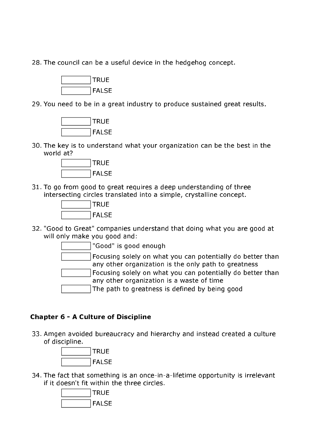28. The council can be a useful device in the hedgehog concept.



29. You need to be in a great industry to produce sustained great results.



30. The key is to understand what your organization can be the best in the world at?



31. To go from good to great requires a deep understanding of three intersecting circles translated into a simple, crystalline concept.



32. "Good to Great" companies understand that doing what you are good at will only make you good and:

"Good" is good enough

Focusing solely on what you can potentially do better than any other organization is the only path to greatness Focusing solely on what you can potentially do better than any other organization is a waste of time

The path to greatness is defined by being good

#### **Chapter 6 - A Culture of Discipline**

33. Amgen avoided bureaucracy and hierarchy and instead created a culture of discipline.



34. The fact that something is an once-in-a-lifetime opportunity is irrelevant if it doesn't fit within the three circles.

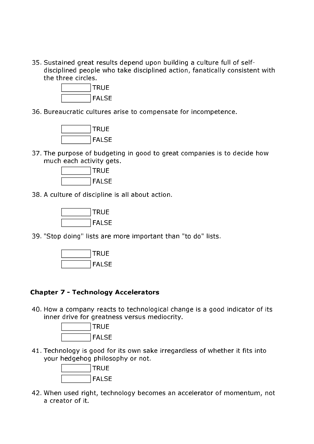35. Sustained great results depend upon building a culture full of selfdisciplined people who take disciplined action, fanatically consistent with the three circles.



36. Bureaucratic cultures arise to compensate for incompetence.



37. The purpose of budgeting in good to great companies is to decide how much each activity gets.



38. A culture of discipline is all about action.



39. "Stop doing" lists are more important than "to do" lists.



#### **Chapter 7 - Technology Accelerators**

40. How a company reacts to technological change is a good indicator of its inner drive for greatness versus mediocrity.



41. Technology is good for its own sake irregardless of whether it fits into your hedgehog philosophy or not.



42. When used right, technology becomes an accelerator of momentum, not a creator of it.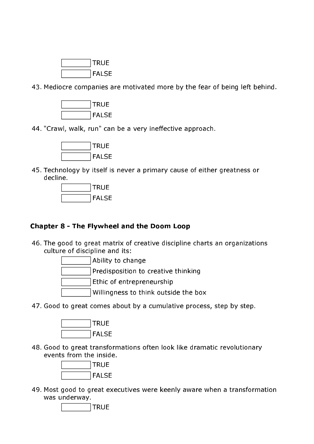

43. Mediocre companies are motivated more by the fear of being left behind.



44. "Crawl, walk, run" can be a very ineffective approach.



45. Technology by itself is never a primary cause of either greatness or decline



#### **Chapter 8 - The Flywheel and the Doom Loop**

46. The good to great matrix of creative discipline charts an organizations culture of discipline and its:



47. Good to great comes about by a cumulative process, step by step.



48. Good to great transformations often look like dramatic revolutionary events from the inside.



49. Most good to great executives were keenly aware when a transformation was underway.

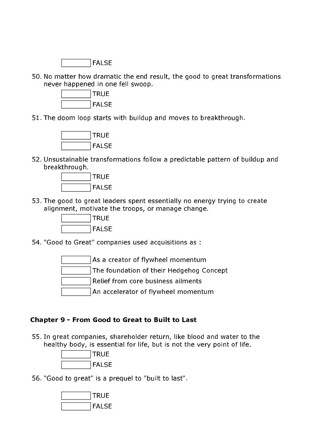

50. No matter how dramatic the end result, the good to great transformations never happened in one fell swoop.



51. The doom loop starts with buildup and moves to breakthrough.



52. Unsustainable transformations follow a predictable pattern of buildup and breakthrough.



53. The good to great leaders spent essentially no energy trying to create alignment, motivate the troops, or manage change.



54. "Good to Great" companies used acquisitions as :

As a creator of flywheel momentum The foundation of their Hedgehog Concept Relief from core business ailments An accelerator of flywheel momentum

### Chapter 9 - From Good to Great to Built to Last

55. In great companies, shareholder return, like blood and water to the healthy body, is essential for life, but is not the very point of life.



56. "Good to great" is a prequel to "built to last".

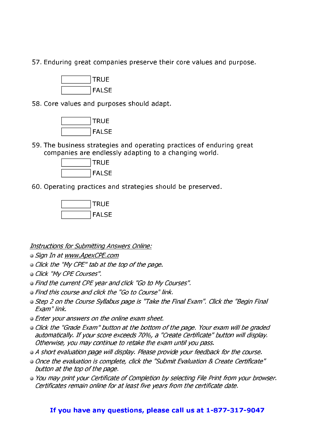57. Enduring great companies preserve their core values and purpose.



58. Core values and purposes should adapt.



59. The business strategies and operating practices of enduring great companies are endlessly adapting to a changing world.



60. Operating practices and strategies should be preserved.



**Instructions for Submitting Answers Online:** 

- · Sign In at www.ApexCPE.com
- Click the "My CPE" tab at the top of the page.
- · Click "My CPE Courses".
- Find the current CPE year and click "Go to My Courses".
- Find this course and click the "Go to Course" link.
- Step 2 on the Course Syllabus page is "Take the Final Exam". Click the "Begin Final Exam" link.
- Enter your answers on the online exam sheet.
- Click the "Grade Exam" button at the bottom of the page. Your exam will be graded automatically. If your score exceeds 70%, a "Create Certificate" button will display. Otherwise, you may continue to retake the exam until you pass.
- A short evaluation page will display. Please provide your feedback for the course.
- Once the evaluation is complete, click the "Submit Evaluation & Create Certificate" button at the top of the page.
- You may print your Certificate of Completion by selecting File Print from your browser. Certificates remain online for at least five years from the certificate date.